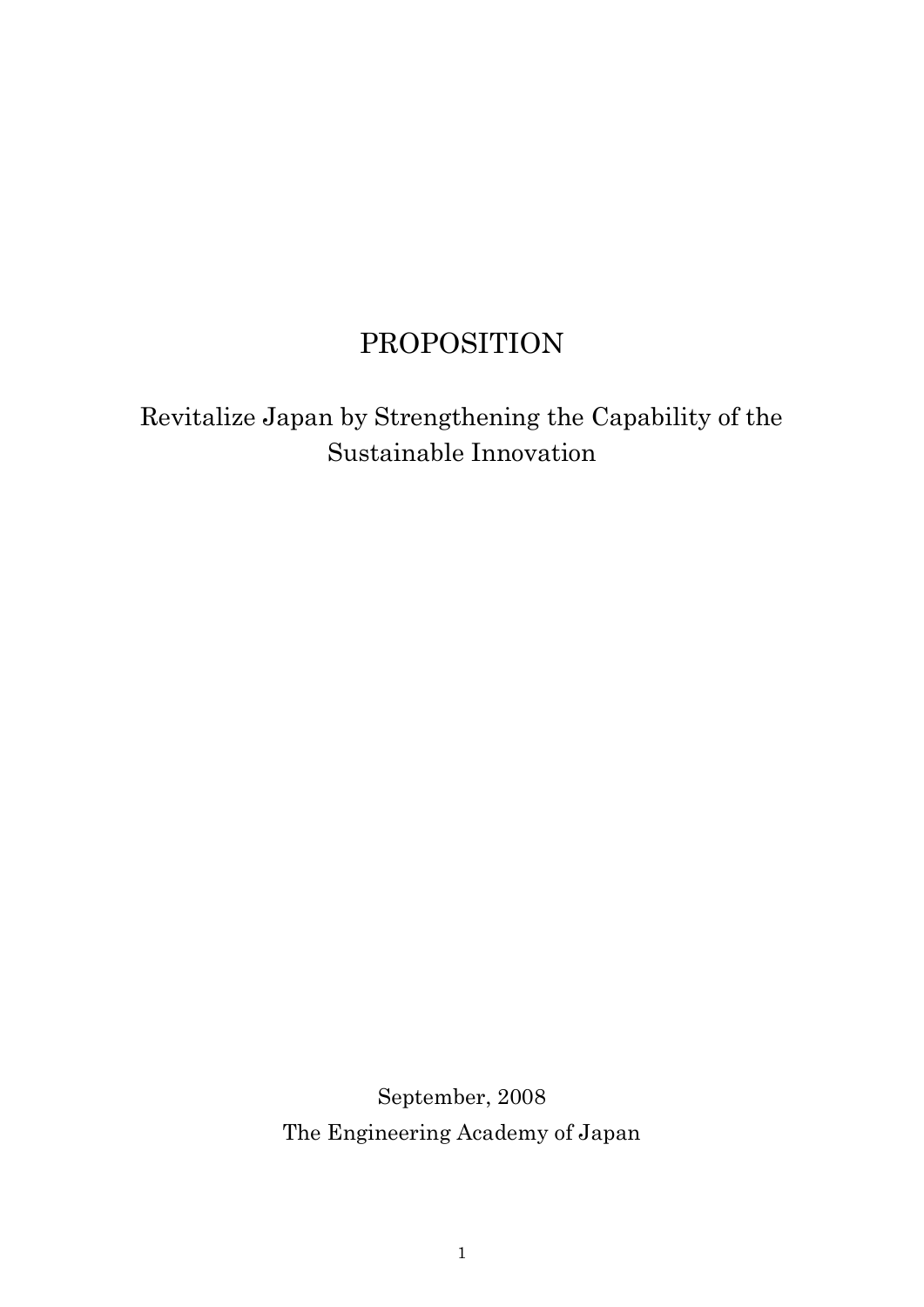# PROPOSITION

Revitalize Japan by Strengthening the Capability of the Sustainable Innovation

> September, 2008 The Engineering Academy of Japan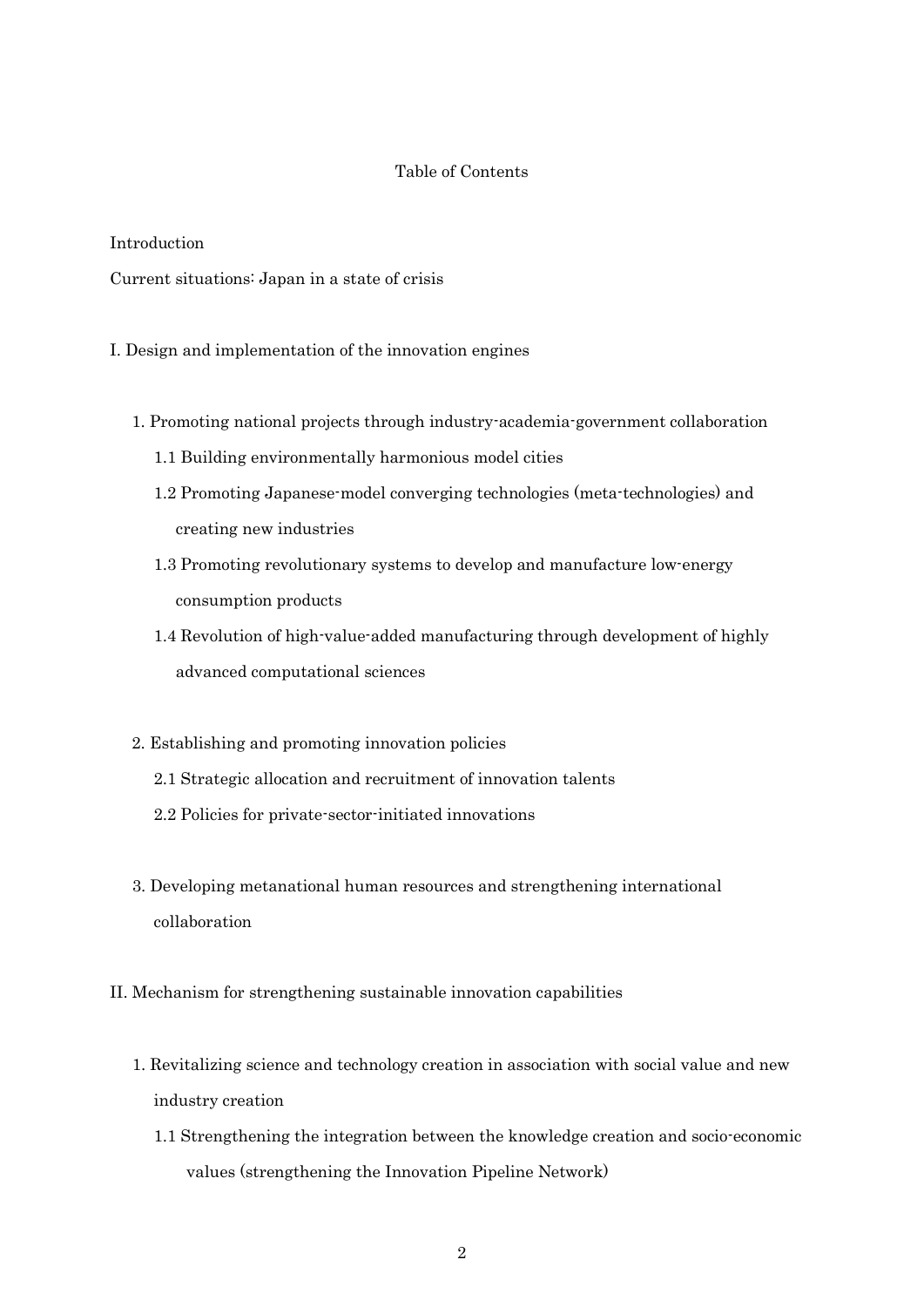# Table of Contents

# Introduction

Current situations: Japan in a state of crisis

I. Design and implementation of the innovation engines

- 1. Promoting national projects through industry-academia-government collaboration
	- 1.1 Building environmentally harmonious model cities
	- 1.2 Promoting Japanese-model converging technologies (meta-technologies) and creating new industries
	- 1.3 Promoting revolutionary systems to develop and manufacture low-energy consumption products
	- 1.4 Revolution of high-value-added manufacturing through development of highly advanced computational sciences
- 2. Establishing and promoting innovation policies
	- 2.1 Strategic allocation and recruitment of innovation talents
	- 2.2 Policies for private-sector-initiated innovations
- 3. Developing metanational human resources and strengthening international collaboration
- II. Mechanism for strengthening sustainable innovation capabilities
	- 1. Revitalizing science and technology creation in association with social value and new industry creation
		- 1.1 Strengthening the integration between the knowledge creation and socio-economic values (strengthening the Innovation Pipeline Network)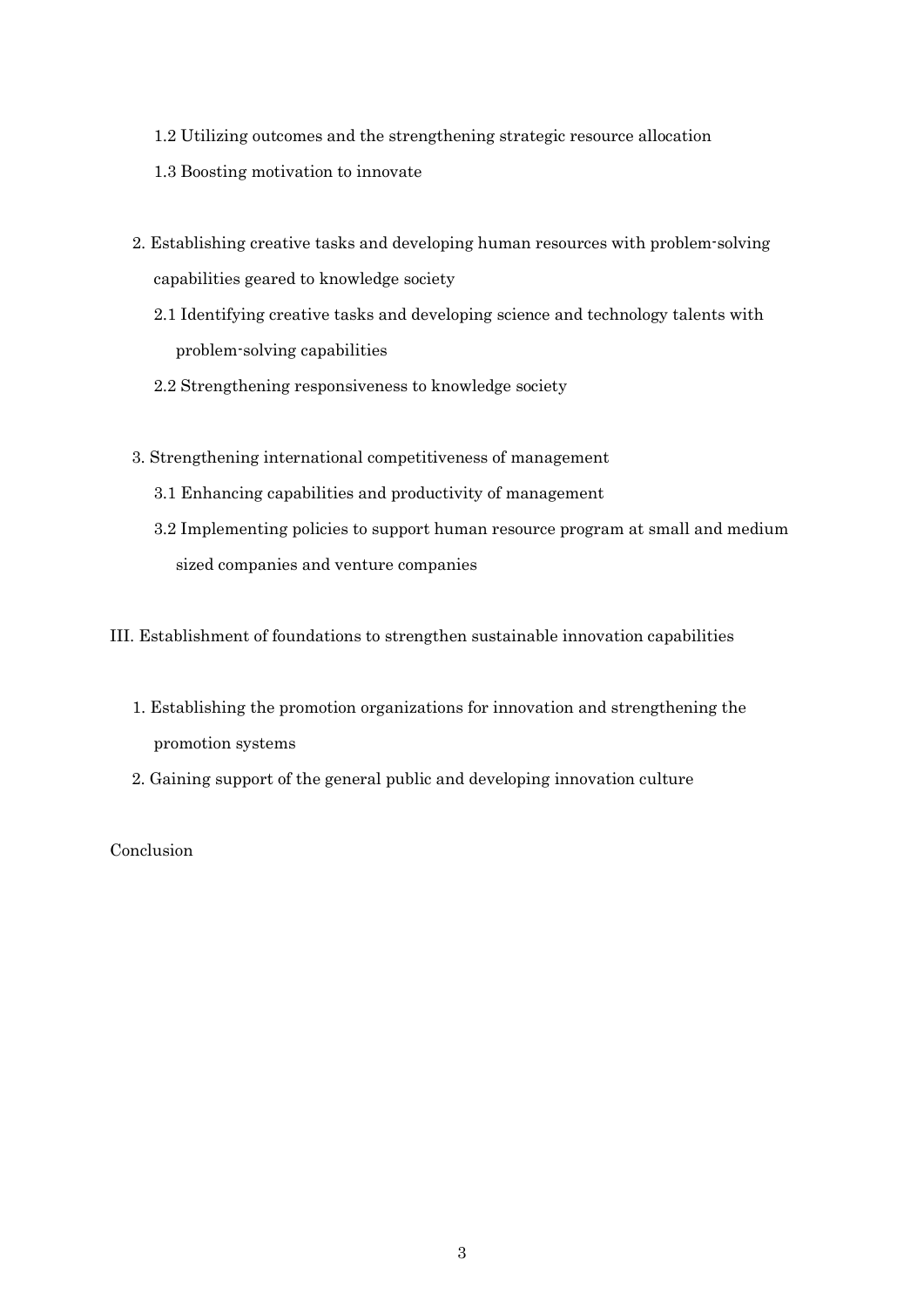- 1.2 Utilizing outcomes and the strengthening strategic resource allocation
- 1.3 Boosting motivation to innovate
- 2. Establishing creative tasks and developing human resources with problem-solving capabilities geared to knowledge society
	- 2.1 Identifying creative tasks and developing science and technology talents with problem-solving capabilities
	- 2.2 Strengthening responsiveness to knowledge society
- 3. Strengthening international competitiveness of management
	- 3.1 Enhancing capabilities and productivity of management
	- 3.2 Implementing policies to support human resource program at small and medium sized companies and venture companies

III. Establishment of foundations to strengthen sustainable innovation capabilities

- 1. Establishing the promotion organizations for innovation and strengthening the promotion systems
- 2. Gaining support of the general public and developing innovation culture

Conclusion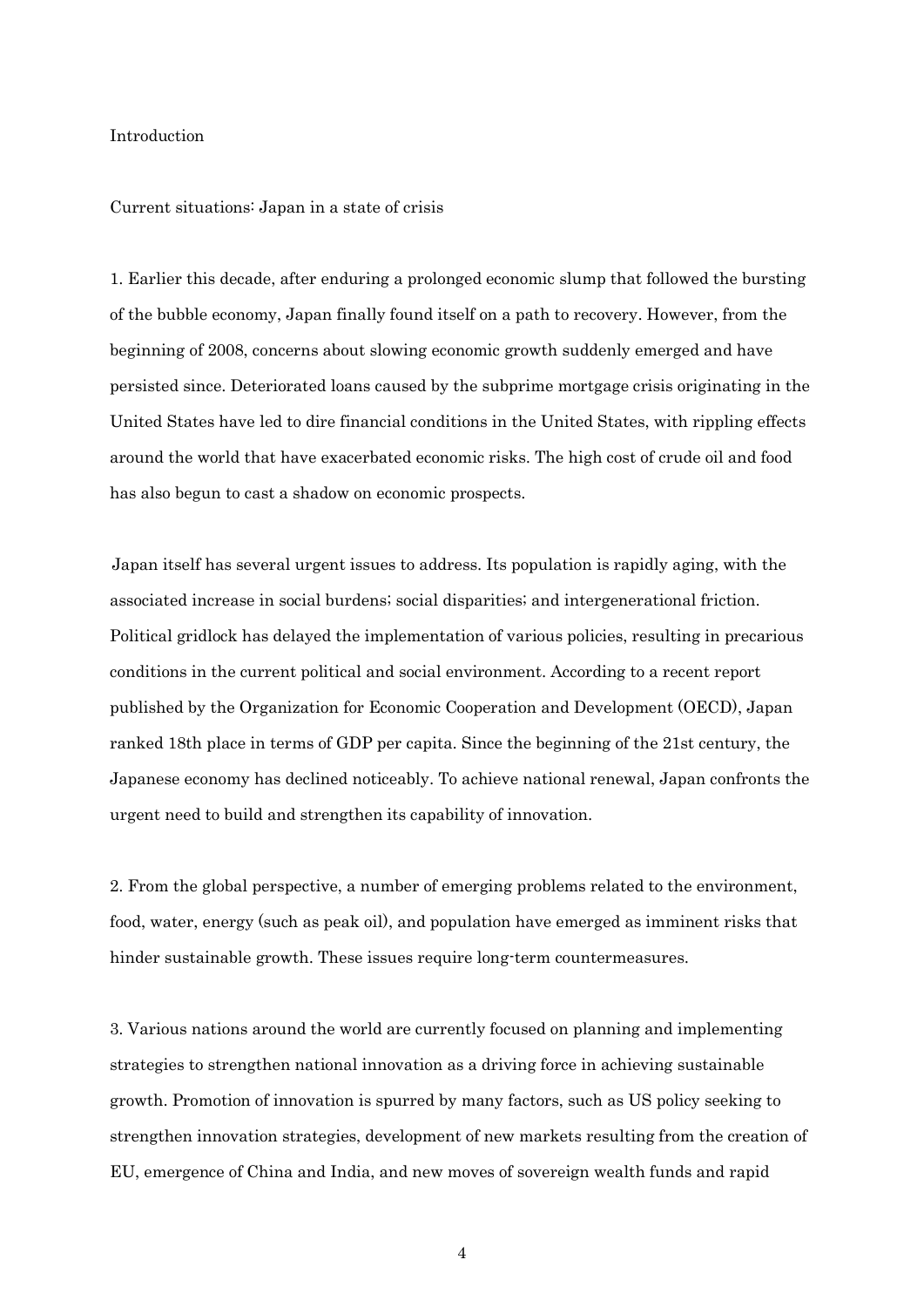# Introduction

#### Current situations: Japan in a state of crisis

1. Earlier this decade, after enduring a prolonged economic slump that followed the bursting of the bubble economy, Japan finally found itself on a path to recovery. However, from the beginning of 2008, concerns about slowing economic growth suddenly emerged and have persisted since. Deteriorated loans caused by the subprime mortgage crisis originating in the United States have led to dire financial conditions in the United States, with rippling effects around the world that have exacerbated economic risks. The high cost of crude oil and food has also begun to cast a shadow on economic prospects.

Japan itself has several urgent issues to address. Its population is rapidly aging, with the associated increase in social burdens; social disparities; and intergenerational friction. Political gridlock has delayed the implementation of various policies, resulting in precarious conditions in the current political and social environment. According to a recent report published by the Organization for Economic Cooperation and Development (OECD), Japan ranked 18th place in terms of GDP per capita. Since the beginning of the 21st century, the Japanese economy has declined noticeably. To achieve national renewal, Japan confronts the urgent need to build and strengthen its capability of innovation.

2. From the global perspective, a number of emerging problems related to the environment, food, water, energy (such as peak oil), and population have emerged as imminent risks that hinder sustainable growth. These issues require long-term countermeasures.

3. Various nations around the world are currently focused on planning and implementing strategies to strengthen national innovation as a driving force in achieving sustainable growth. Promotion of innovation is spurred by many factors, such as US policy seeking to strengthen innovation strategies, development of new markets resulting from the creation of EU, emergence of China and India, and new moves of sovereign wealth funds and rapid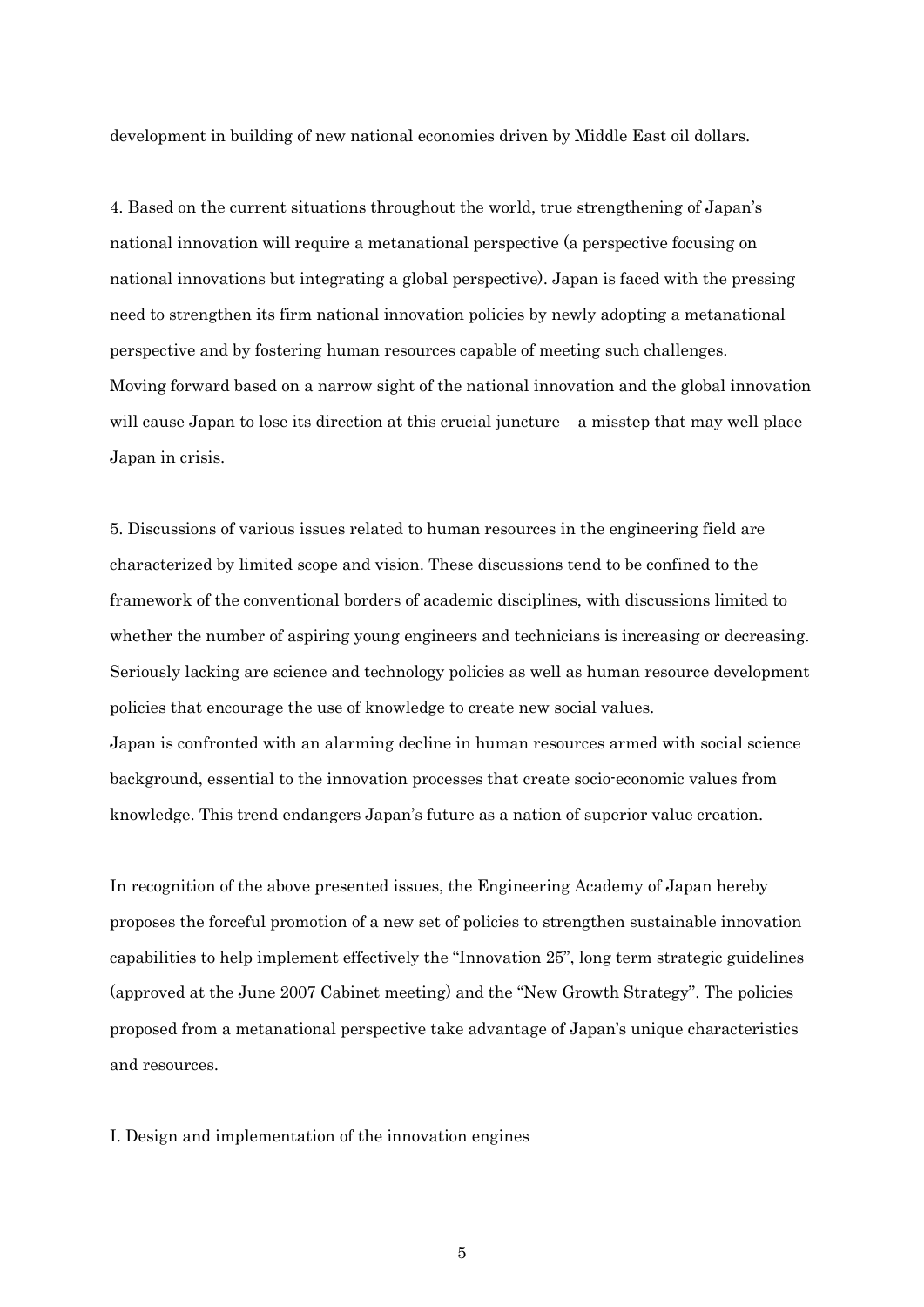development in building of new national economies driven by Middle East oil dollars.

4. Based on the current situations throughout the world, true strengthening of Japan's national innovation will require a metanational perspective (a perspective focusing on national innovations but integrating a global perspective). Japan is faced with the pressing need to strengthen its firm national innovation policies by newly adopting a metanational perspective and by fostering human resources capable of meeting such challenges. Moving forward based on a narrow sight of the national innovation and the global innovation will cause Japan to lose its direction at this crucial juncture  $-$  a misstep that may well place Japan in crisis.

5. Discussions of various issues related to human resources in the engineering field are characterized by limited scope and vision. These discussions tend to be confined to the framework of the conventional borders of academic disciplines, with discussions limited to whether the number of aspiring young engineers and technicians is increasing or decreasing. Seriously lacking are science and technology policies as well as human resource development policies that encourage the use of knowledge to create new social values. Japan is confronted with an alarming decline in human resources armed with social science background, essential to the innovation processes that create socio-economic values from knowledge. This trend endangers Japan's future as a nation of superior value creation.

In recognition of the above presented issues, the Engineering Academy of Japan hereby proposes the forceful promotion of a new set of policies to strengthen sustainable innovation capabilities to help implement effectively the "Innovation 25", long term strategic guidelines (approved at the June 2007 Cabinet meeting) and the "New Growth Strategy". The policies proposed from a metanational perspective take advantage of Japan's unique characteristics and resources.

I. Design and implementation of the innovation engines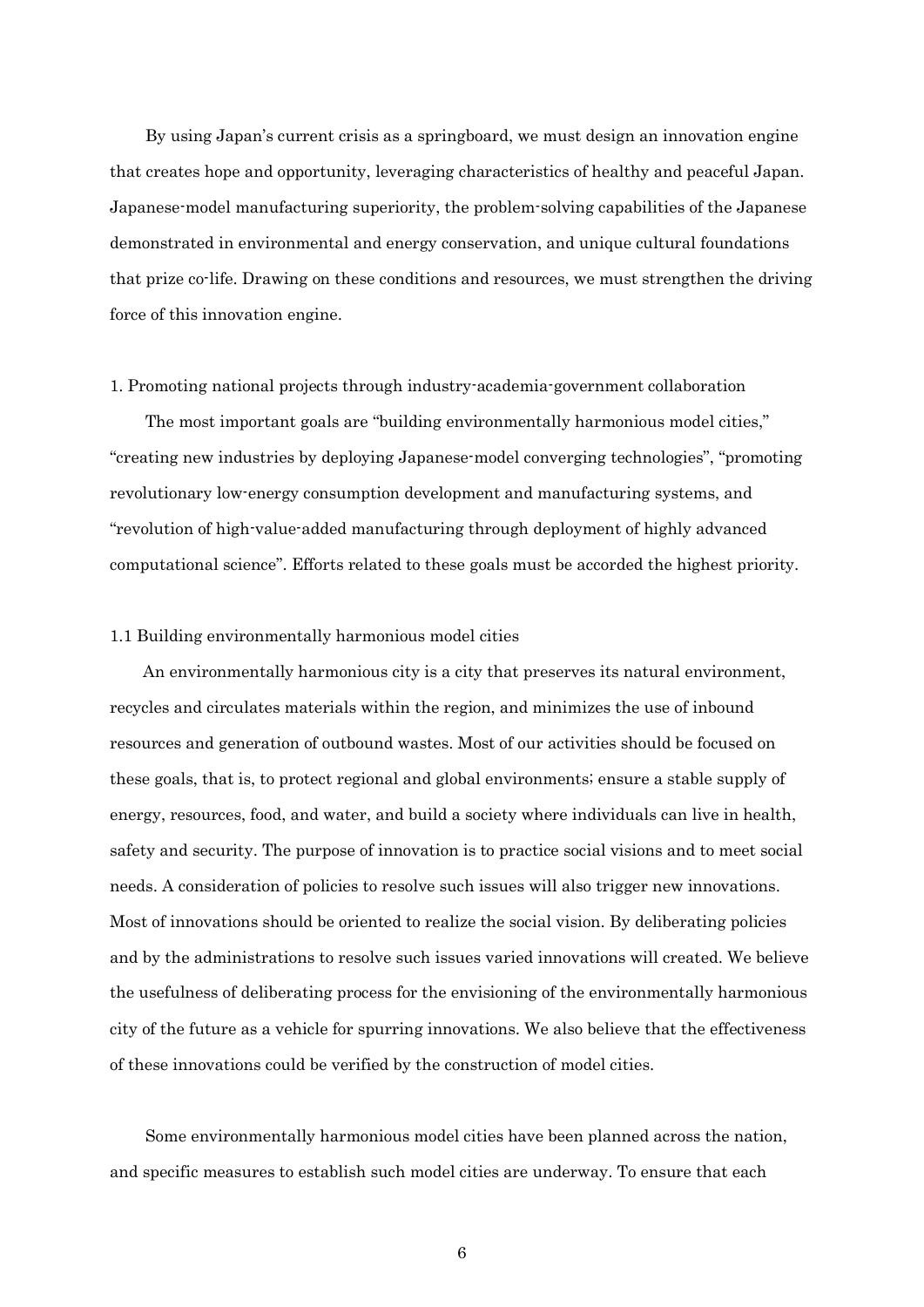By using Japan's current crisis as a springboard, we must design an innovation engine that creates hope and opportunity, leveraging characteristics of healthy and peaceful Japan. Japanese-model manufacturing superiority, the problem-solving capabilities of the Japanese demonstrated in environmental and energy conservation, and unique cultural foundations that prize co-life. Drawing on these conditions and resources, we must strengthen the driving force of this innovation engine.

# 1. Promoting national projects through industry-academia-government collaboration

The most important goals are "building environmentally harmonious model cities," "creating new industries by deploying Japanese-model converging technologies", "promoting revolutionary low-energy consumption development and manufacturing systems, and "revolution of high-value-added manufacturing through deployment of highly advanced computational science". Efforts related to these goals must be accorded the highest priority.

# 1.1 Building environmentally harmonious model cities

An environmentally harmonious city is a city that preserves its natural environment, recycles and circulates materials within the region, and minimizes the use of inbound resources and generation of outbound wastes. Most of our activities should be focused on these goals, that is, to protect regional and global environments; ensure a stable supply of energy, resources, food, and water, and build a society where individuals can live in health, safety and security. The purpose of innovation is to practice social visions and to meet social needs. A consideration of policies to resolve such issues will also trigger new innovations. Most of innovations should be oriented to realize the social vision. By deliberating policies and by the administrations to resolve such issues varied innovations will created. We believe the usefulness of deliberating process for the envisioning of the environmentally harmonious city of the future as a vehicle for spurring innovations. We also believe that the effectiveness of these innovations could be verified by the construction of model cities.

Some environmentally harmonious model cities have been planned across the nation, and specific measures to establish such model cities are underway. To ensure that each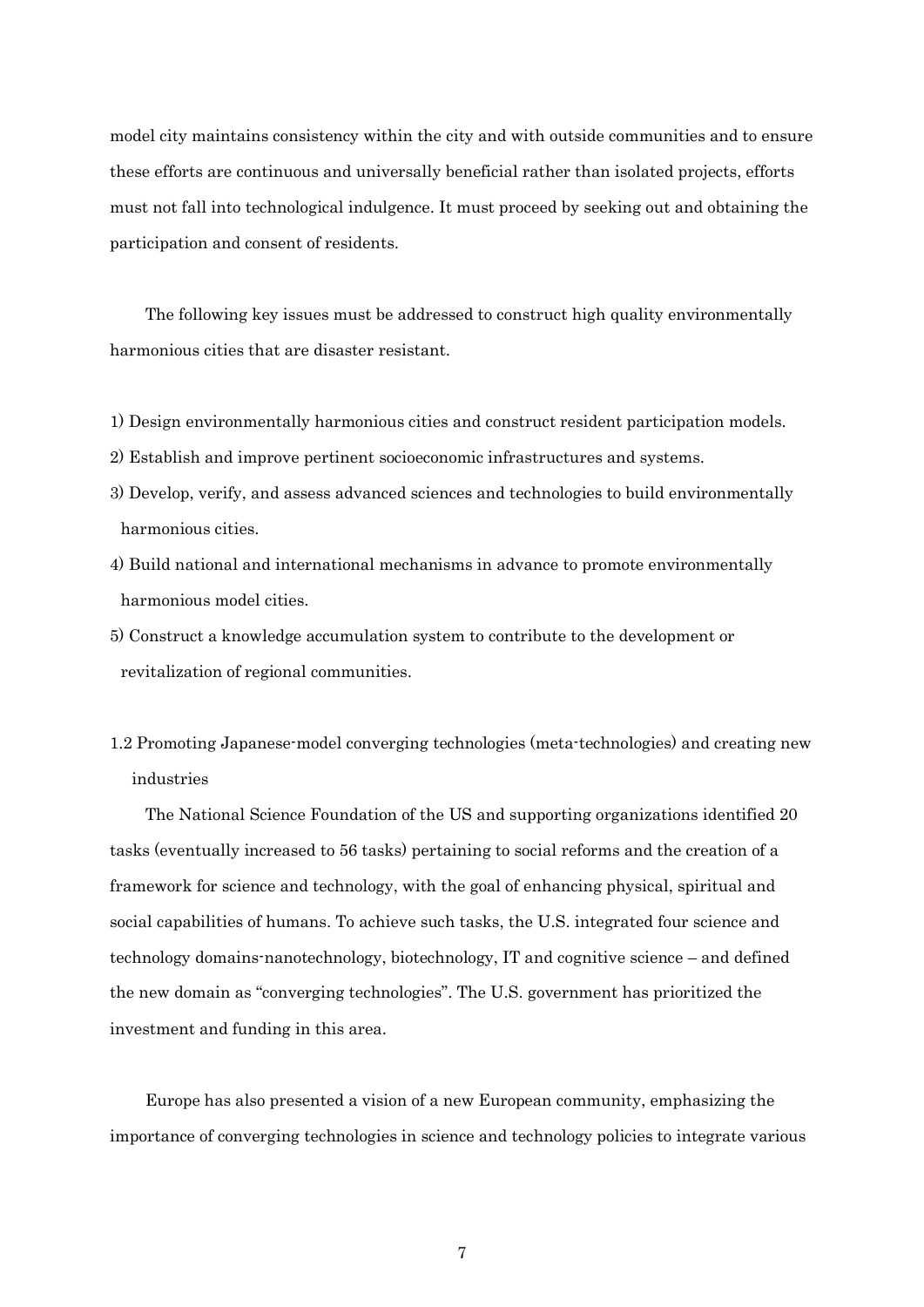model city maintains consistency within the city and with outside communities and to ensure these efforts are continuous and universally beneficial rather than isolated projects, efforts must not fall into technological indulgence. It must proceed by seeking out and obtaining the participation and consent of residents.

The following key issues must be addressed to construct high quality environmentally harmonious cities that are disaster resistant.

- 1) Design environmentally harmonious cities and construct resident participation models.
- 2) Establish and improve pertinent socioeconomic infrastructures and systems.
- 3) Develop, verify, and assess advanced sciences and technologies to build environmentally harmonious cities.
- 4) Build national and international mechanisms in advance to promote environmentally harmonious model cities.
- 5) Construct a knowledge accumulation system to contribute to the development or revitalization of regional communities.
- 1.2 Promoting Japanese-model converging technologies (meta-technologies) and creating new industries

The National Science Foundation of the US and supporting organizations identified 20 tasks (eventually increased to 56 tasks) pertaining to social reforms and the creation of a framework for science and technology, with the goal of enhancing physical, spiritual and social capabilities of humans. To achieve such tasks, the U.S. integrated four science and technology domains-nanotechnology, biotechnology, IT and cognitive science – and defined the new domain as "converging technologies". The U.S. government has prioritized the investment and funding in this area.

Europe has also presented a vision of a new European community, emphasizing the importance of converging technologies in science and technology policies to integrate various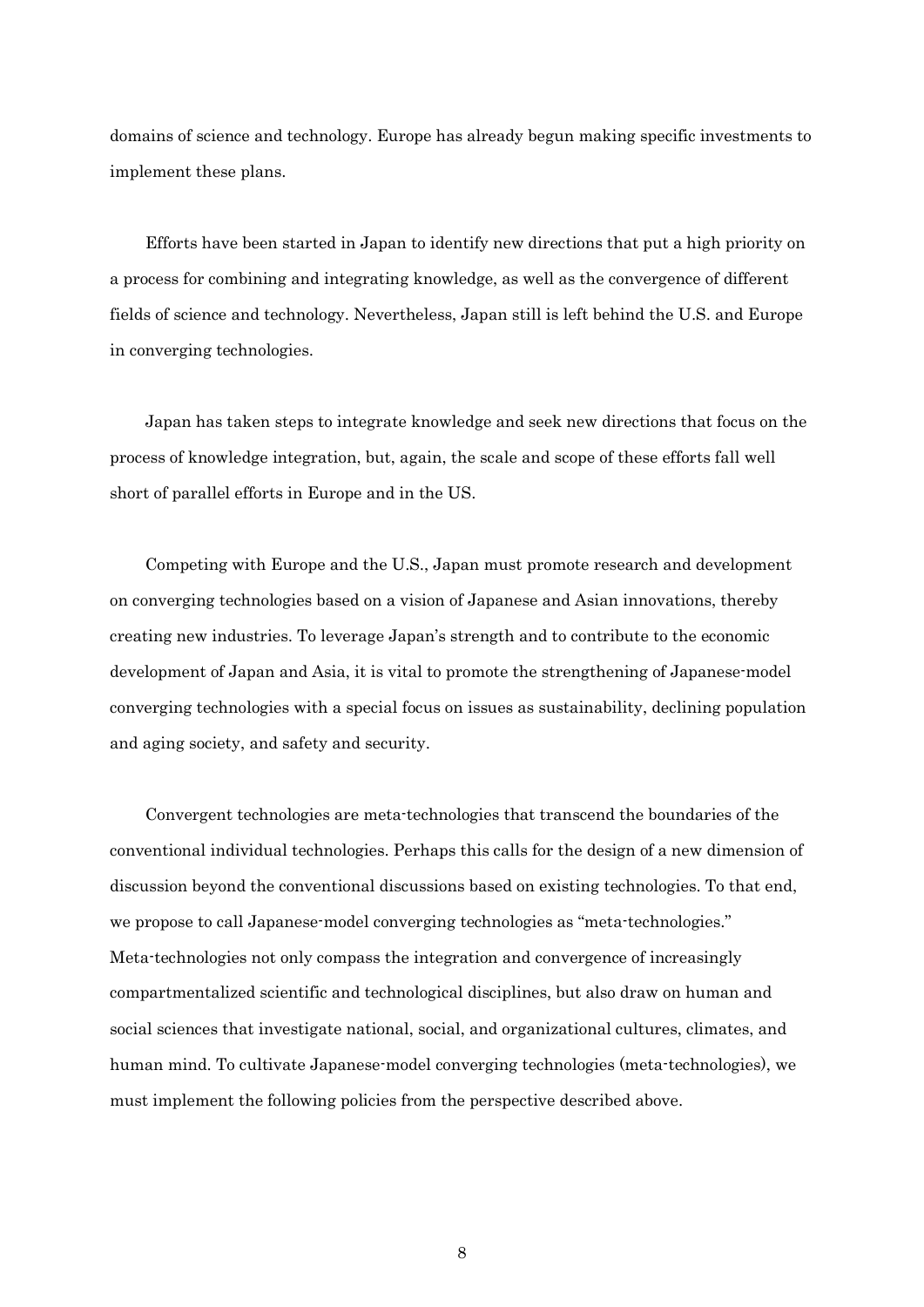domains of science and technology. Europe has already begun making specific investments to implement these plans.

Efforts have been started in Japan to identify new directions that put a high priority on a process for combining and integrating knowledge, as well as the convergence of different fields of science and technology. Nevertheless, Japan still is left behind the U.S. and Europe in converging technologies.

Japan has taken steps to integrate knowledge and seek new directions that focus on the process of knowledge integration, but, again, the scale and scope of these efforts fall well short of parallel efforts in Europe and in the US.

Competing with Europe and the U.S., Japan must promote research and development on converging technologies based on a vision of Japanese and Asian innovations, thereby creating new industries. To leverage Japan's strength and to contribute to the economic development of Japan and Asia, it is vital to promote the strengthening of Japanese-model converging technologies with a special focus on issues as sustainability, declining population and aging society, and safety and security.

Convergent technologies are meta-technologies that transcend the boundaries of the conventional individual technologies. Perhaps this calls for the design of a new dimension of discussion beyond the conventional discussions based on existing technologies. To that end, we propose to call Japanese-model converging technologies as "meta-technologies." Meta-technologies not only compass the integration and convergence of increasingly compartmentalized scientific and technological disciplines, but also draw on human and social sciences that investigate national, social, and organizational cultures, climates, and human mind. To cultivate Japanese-model converging technologies (meta-technologies), we must implement the following policies from the perspective described above.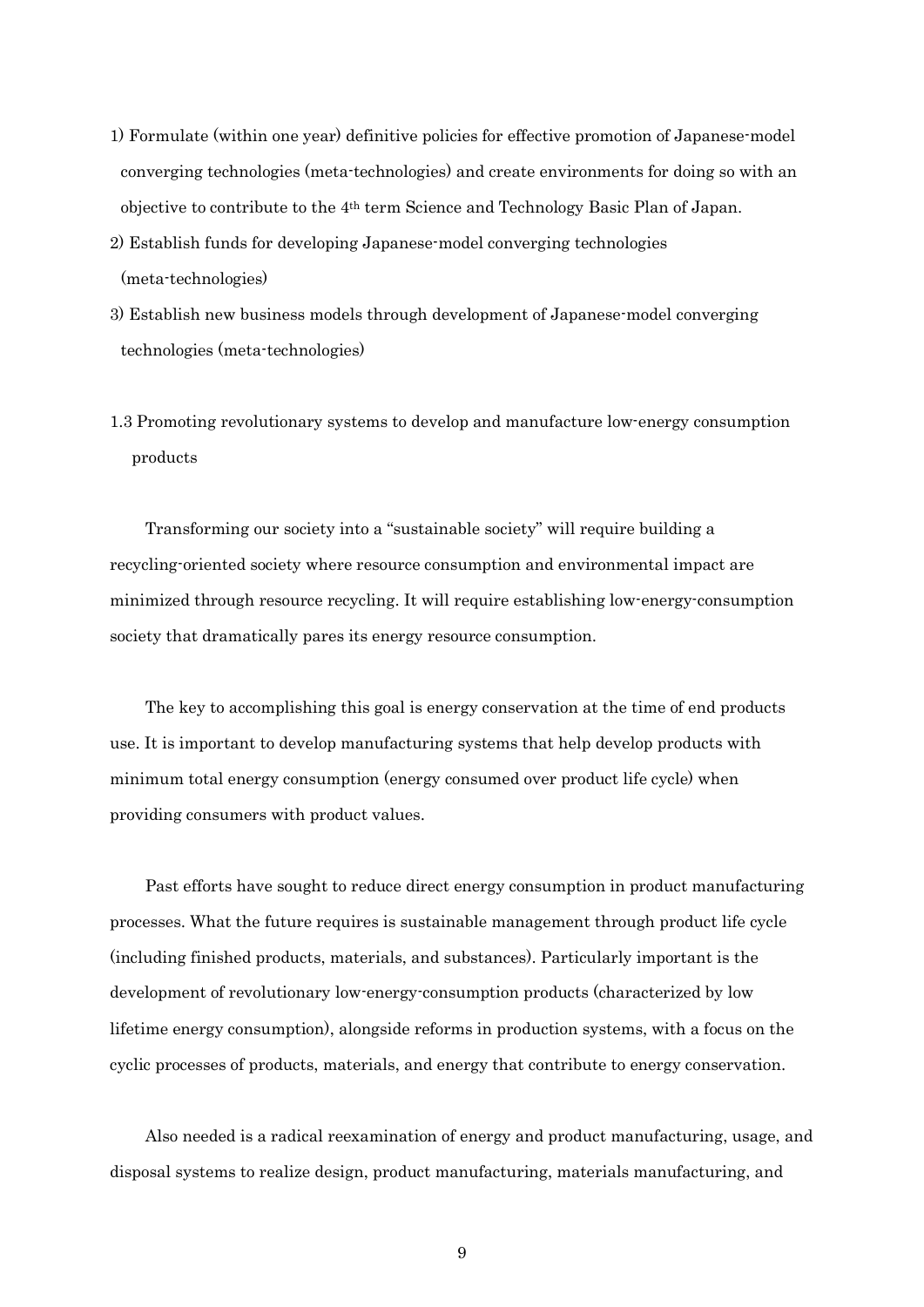- 1) Formulate (within one year) definitive policies for effective promotion of Japanese-model converging technologies (meta-technologies) and create environments for doing so with an objective to contribute to the 4th term Science and Technology Basic Plan of Japan.
- 2) Establish funds for developing Japanese-model converging technologies (meta-technologies)
- 3) Establish new business models through development of Japanese-model converging technologies (meta-technologies)
- 1.3 Promoting revolutionary systems to develop and manufacture low-energy consumption products

Transforming our society into a "sustainable society" will require building a recycling-oriented society where resource consumption and environmental impact are minimized through resource recycling. It will require establishing low-energy-consumption society that dramatically pares its energy resource consumption.

The key to accomplishing this goal is energy conservation at the time of end products use. It is important to develop manufacturing systems that help develop products with minimum total energy consumption (energy consumed over product life cycle) when providing consumers with product values.

Past efforts have sought to reduce direct energy consumption in product manufacturing processes. What the future requires is sustainable management through product life cycle (including finished products, materials, and substances). Particularly important is the development of revolutionary low-energy-consumption products (characterized by low lifetime energy consumption), alongside reforms in production systems, with a focus on the cyclic processes of products, materials, and energy that contribute to energy conservation.

Also needed is a radical reexamination of energy and product manufacturing, usage, and disposal systems to realize design, product manufacturing, materials manufacturing, and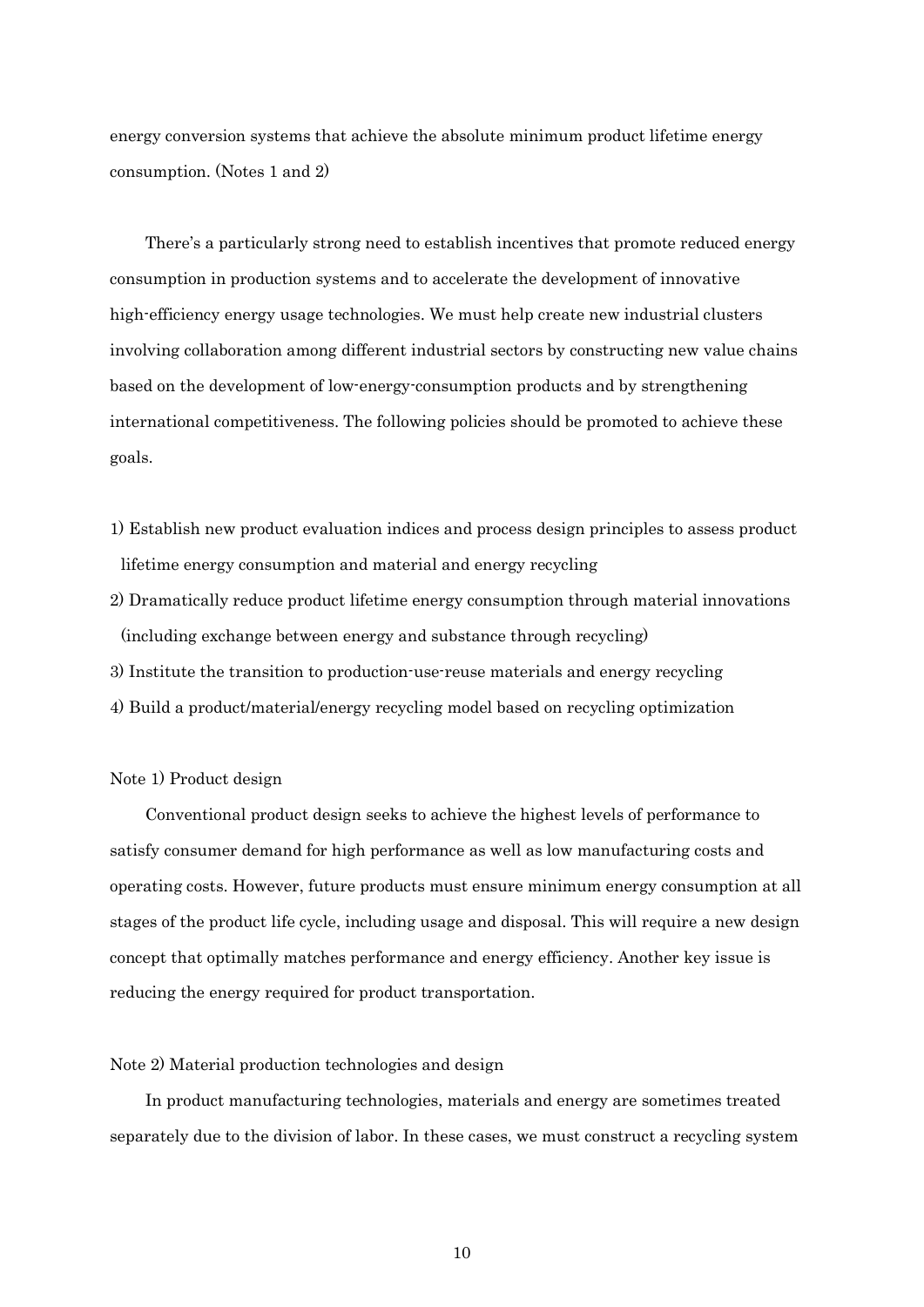energy conversion systems that achieve the absolute minimum product lifetime energy consumption. (Notes 1 and 2)

There's a particularly strong need to establish incentives that promote reduced energy consumption in production systems and to accelerate the development of innovative high-efficiency energy usage technologies. We must help create new industrial clusters involving collaboration among different industrial sectors by constructing new value chains based on the development of low-energy-consumption products and by strengthening international competitiveness. The following policies should be promoted to achieve these goals.

- 1) Establish new product evaluation indices and process design principles to assess product lifetime energy consumption and material and energy recycling
- 2) Dramatically reduce product lifetime energy consumption through material innovations (including exchange between energy and substance through recycling)
- 3) Institute the transition to production-use-reuse materials and energy recycling
- 4) Build a product/material/energy recycling model based on recycling optimization

# Note 1) Product design

Conventional product design seeks to achieve the highest levels of performance to satisfy consumer demand for high performance as well as low manufacturing costs and operating costs. However, future products must ensure minimum energy consumption at all stages of the product life cycle, including usage and disposal. This will require a new design concept that optimally matches performance and energy efficiency. Another key issue is reducing the energy required for product transportation.

## Note 2) Material production technologies and design

In product manufacturing technologies, materials and energy are sometimes treated separately due to the division of labor. In these cases, we must construct a recycling system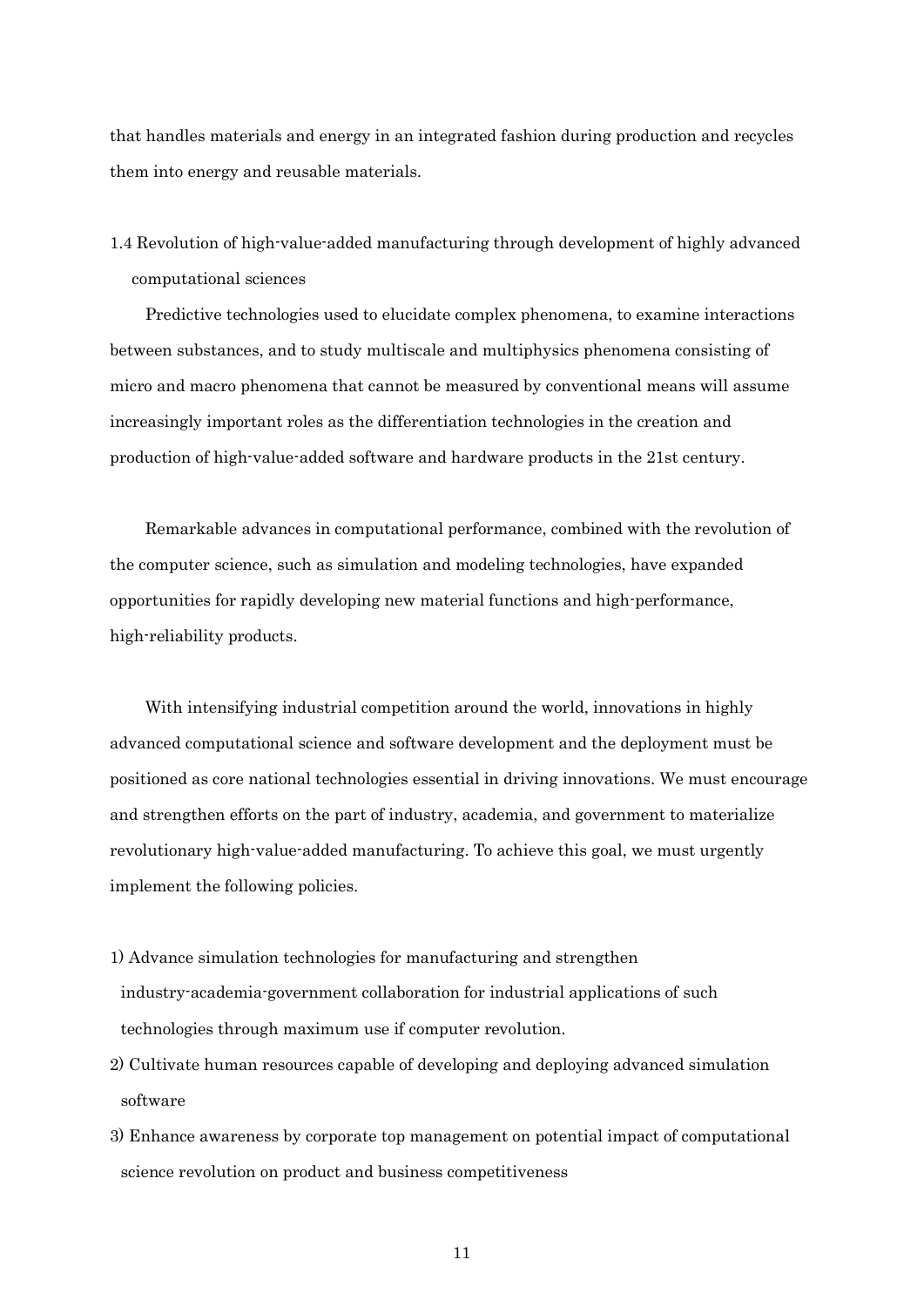that handles materials and energy in an integrated fashion during production and recycles them into energy and reusable materials.

1.4 Revolution of high-value-added manufacturing through development of highly advanced computational sciences

Predictive technologies used to elucidate complex phenomena, to examine interactions between substances, and to study multiscale and multiphysics phenomena consisting of micro and macro phenomena that cannot be measured by conventional means will assume increasingly important roles as the differentiation technologies in the creation and production of high-value-added software and hardware products in the 21st century.

Remarkable advances in computational performance, combined with the revolution of the computer science, such as simulation and modeling technologies, have expanded opportunities for rapidly developing new material functions and high-performance, high-reliability products.

With intensifying industrial competition around the world, innovations in highly advanced computational science and software development and the deployment must be positioned as core national technologies essential in driving innovations. We must encourage and strengthen efforts on the part of industry, academia, and government to materialize revolutionary high-value-added manufacturing. To achieve this goal, we must urgently implement the following policies.

- 1) Advance simulation technologies for manufacturing and strengthen industry-academia-government collaboration for industrial applications of such technologies through maximum use if computer revolution.
- 2) Cultivate human resources capable of developing and deploying advanced simulation software
- 3) Enhance awareness by corporate top management on potential impact of computational science revolution on product and business competitiveness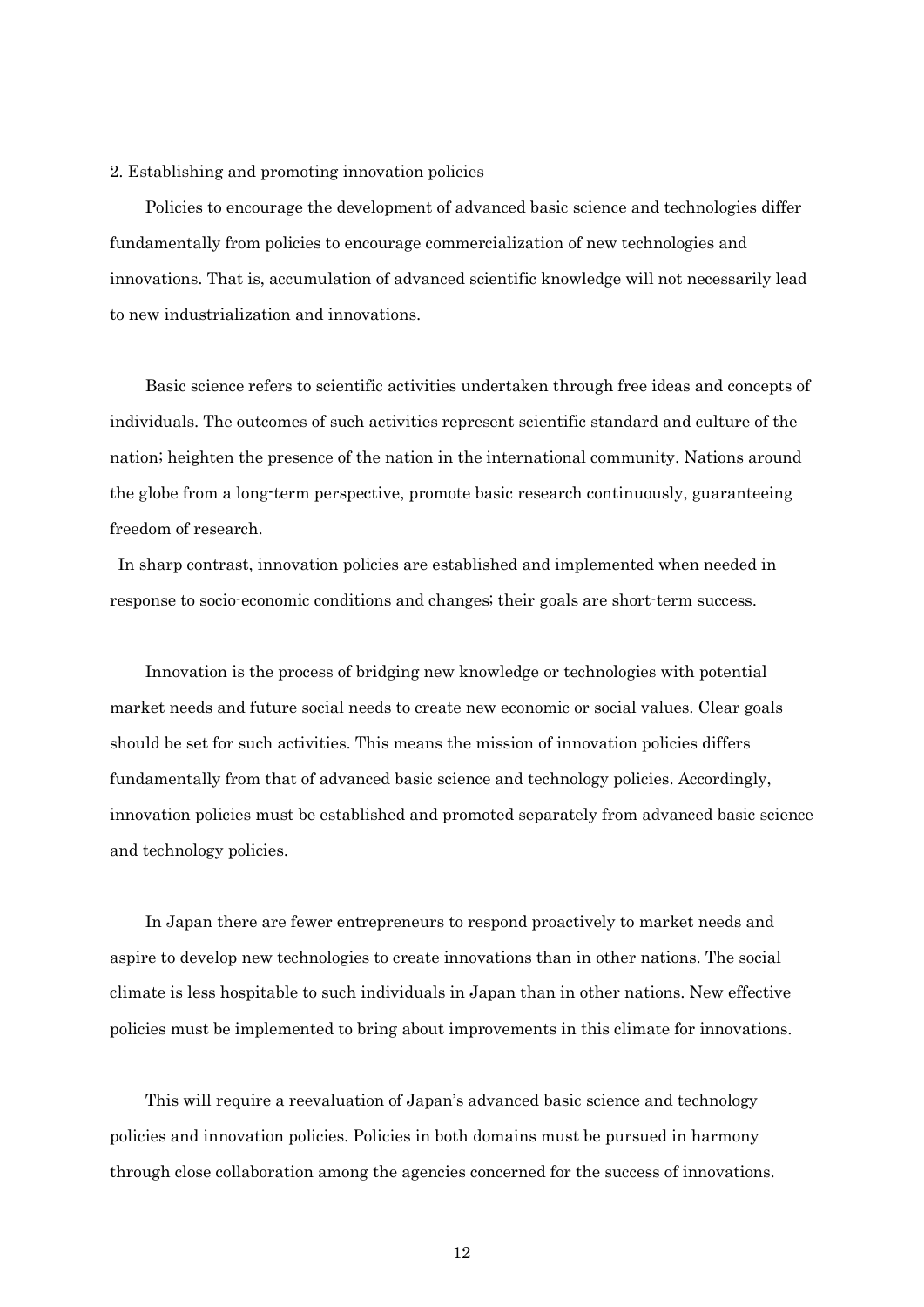#### 2. Establishing and promoting innovation policies

Policies to encourage the development of advanced basic science and technologies differ fundamentally from policies to encourage commercialization of new technologies and innovations. That is, accumulation of advanced scientific knowledge will not necessarily lead to new industrialization and innovations.

Basic science refers to scientific activities undertaken through free ideas and concepts of individuals. The outcomes of such activities represent scientific standard and culture of the nation; heighten the presence of the nation in the international community. Nations around the globe from a long-term perspective, promote basic research continuously, guaranteeing freedom of research.

In sharp contrast, innovation policies are established and implemented when needed in response to socio-economic conditions and changes; their goals are short-term success.

Innovation is the process of bridging new knowledge or technologies with potential market needs and future social needs to create new economic or social values. Clear goals should be set for such activities. This means the mission of innovation policies differs fundamentally from that of advanced basic science and technology policies. Accordingly, innovation policies must be established and promoted separately from advanced basic science and technology policies.

In Japan there are fewer entrepreneurs to respond proactively to market needs and aspire to develop new technologies to create innovations than in other nations. The social climate is less hospitable to such individuals in Japan than in other nations. New effective policies must be implemented to bring about improvements in this climate for innovations.

This will require a reevaluation of Japan's advanced basic science and technology policies and innovation policies. Policies in both domains must be pursued in harmony through close collaboration among the agencies concerned for the success of innovations.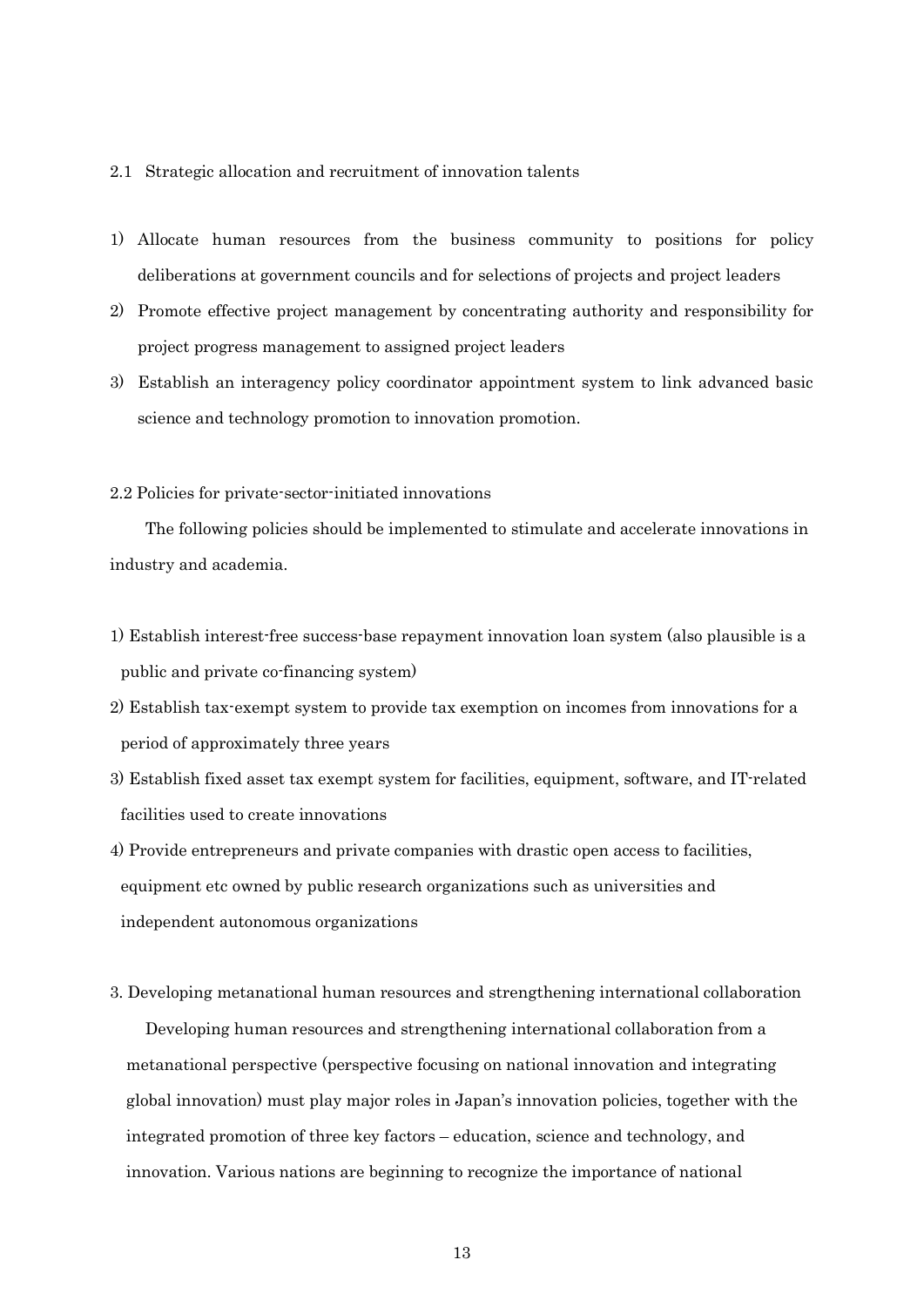#### 2.1 Strategic allocation and recruitment of innovation talents

- 1) Allocate human resources from the business community to positions for policy deliberations at government councils and for selections of projects and project leaders
- 2) Promote effective project management by concentrating authority and responsibility for project progress management to assigned project leaders
- 3) Establish an interagency policy coordinator appointment system to link advanced basic science and technology promotion to innovation promotion.

# 2.2 Policies for private-sector-initiated innovations

The following policies should be implemented to stimulate and accelerate innovations in industry and academia.

- 1) Establish interest-free success-base repayment innovation loan system (also plausible is a public and private co-financing system)
- 2) Establish tax-exempt system to provide tax exemption on incomes from innovations for a period of approximately three years
- 3) Establish fixed asset tax exempt system for facilities, equipment, software, and IT-related facilities used to create innovations
- 4) Provide entrepreneurs and private companies with drastic open access to facilities, equipment etc owned by public research organizations such as universities and independent autonomous organizations
- 3. Developing metanational human resources and strengthening international collaboration

Developing human resources and strengthening international collaboration from a metanational perspective (perspective focusing on national innovation and integrating global innovation) must play major roles in Japan's innovation policies, together with the integrated promotion of three key factors – education, science and technology, and innovation. Various nations are beginning to recognize the importance of national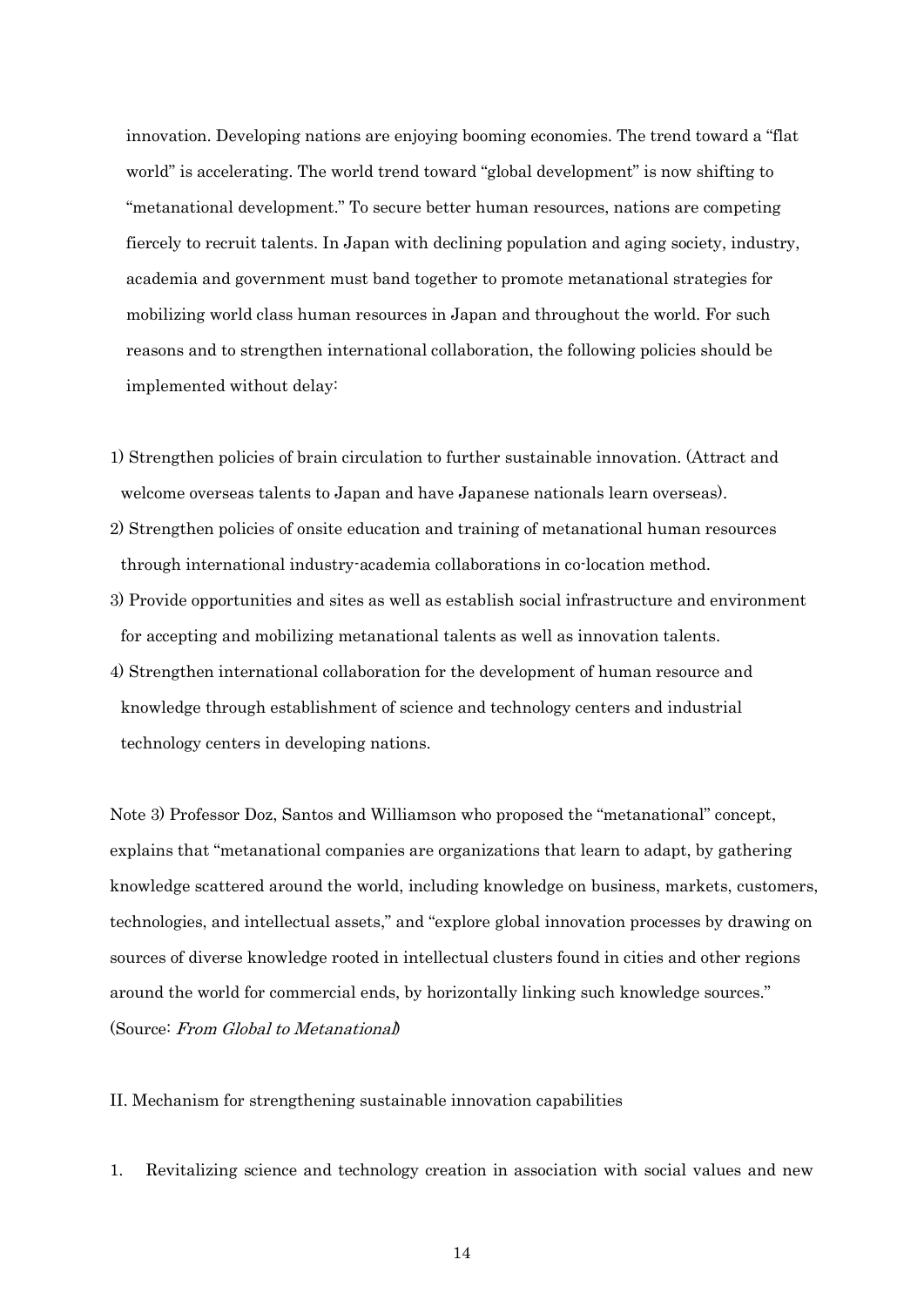innovation. Developing nations are enjoying booming economies. The trend toward a "flat world" is accelerating. The world trend toward "global development" is now shifting to "metanational development." To secure better human resources, nations are competing fiercely to recruit talents. In Japan with declining population and aging society, industry, academia and government must band together to promote metanational strategies for mobilizing world class human resources in Japan and throughout the world. For such reasons and to strengthen international collaboration, the following policies should be implemented without delay:

- 1) Strengthen policies of brain circulation to further sustainable innovation. (Attract and welcome overseas talents to Japan and have Japanese nationals learn overseas).
- 2) Strengthen policies of onsite education and training of metanational human resources through international industry-academia collaborations in co-location method.
- 3) Provide opportunities and sites as well as establish social infrastructure and environment for accepting and mobilizing metanational talents as well as innovation talents.
- 4) Strengthen international collaboration for the development of human resource and knowledge through establishment of science and technology centers and industrial technology centers in developing nations.

Note 3) Professor Doz, Santos and Williamson who proposed the "metanational" concept, explains that "metanational companies are organizations that learn to adapt, by gathering knowledge scattered around the world, including knowledge on business, markets, customers, technologies, and intellectual assets," and "explore global innovation processes by drawing on sources of diverse knowledge rooted in intellectual clusters found in cities and other regions around the world for commercial ends, by horizontally linking such knowledge sources." (Source: From Global to Metanational)

II. Mechanism for strengthening sustainable innovation capabilities

1. Revitalizing science and technology creation in association with social values and new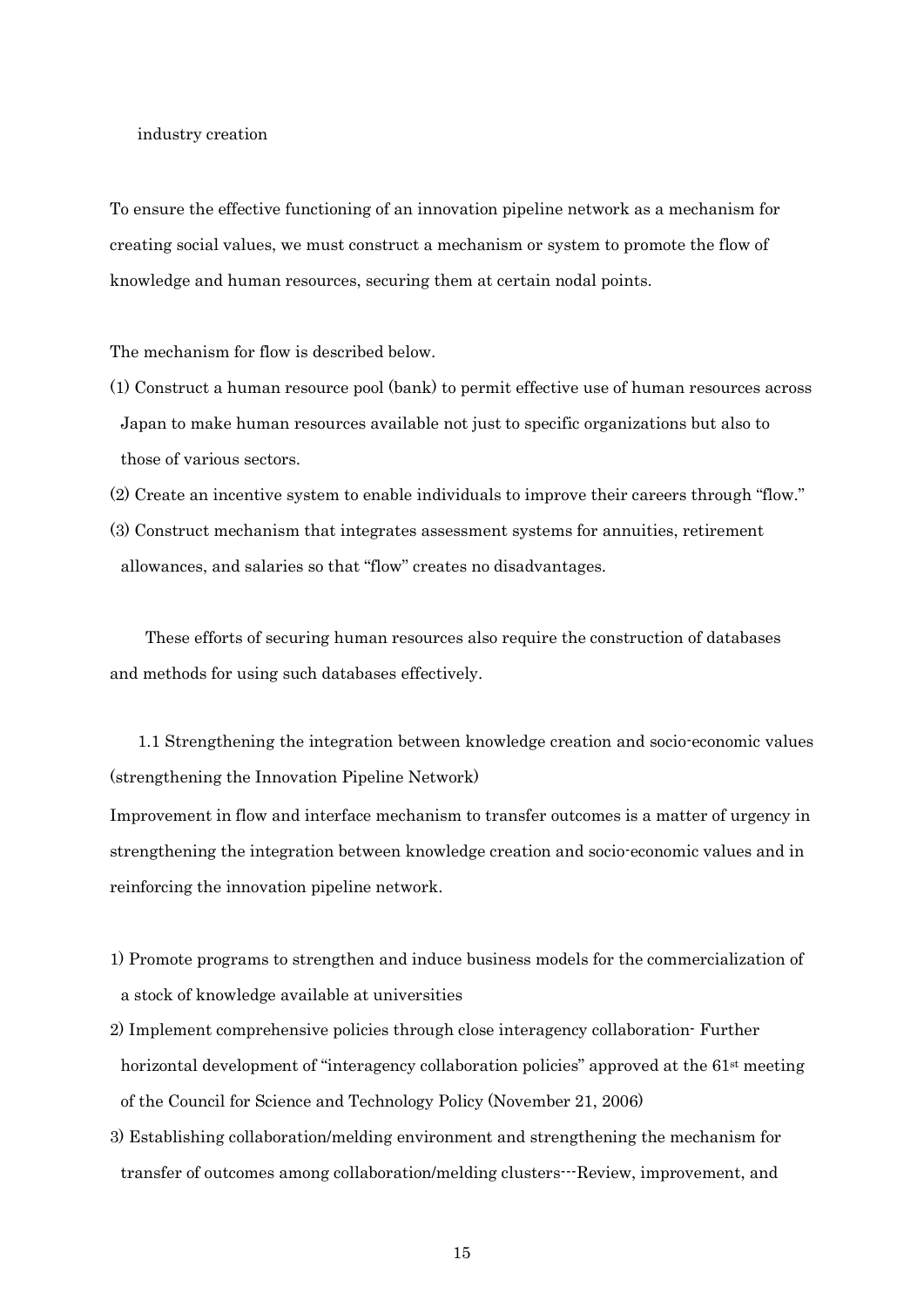#### industry creation

To ensure the effective functioning of an innovation pipeline network as a mechanism for creating social values, we must construct a mechanism or system to promote the flow of knowledge and human resources, securing them at certain nodal points.

The mechanism for flow is described below.

- (1) Construct a human resource pool (bank) to permit effective use of human resources across Japan to make human resources available not just to specific organizations but also to those of various sectors.
- (2) Create an incentive system to enable individuals to improve their careers through "flow."
- (3) Construct mechanism that integrates assessment systems for annuities, retirement allowances, and salaries so that "flow" creates no disadvantages.

These efforts of securing human resources also require the construction of databases and methods for using such databases effectively.

1.1 Strengthening the integration between knowledge creation and socio-economic values (strengthening the Innovation Pipeline Network)

Improvement in flow and interface mechanism to transfer outcomes is a matter of urgency in strengthening the integration between knowledge creation and socio-economic values and in reinforcing the innovation pipeline network.

- 1) Promote programs to strengthen and induce business models for the commercialization of a stock of knowledge available at universities
- 2) Implement comprehensive policies through close interagency collaboration- Further horizontal development of "interagency collaboration policies" approved at the 61<sup>st</sup> meeting of the Council for Science and Technology Policy (November 21, 2006)
- 3) Establishing collaboration/melding environment and strengthening the mechanism for transfer of outcomes among collaboration/melding clusters---Review, improvement, and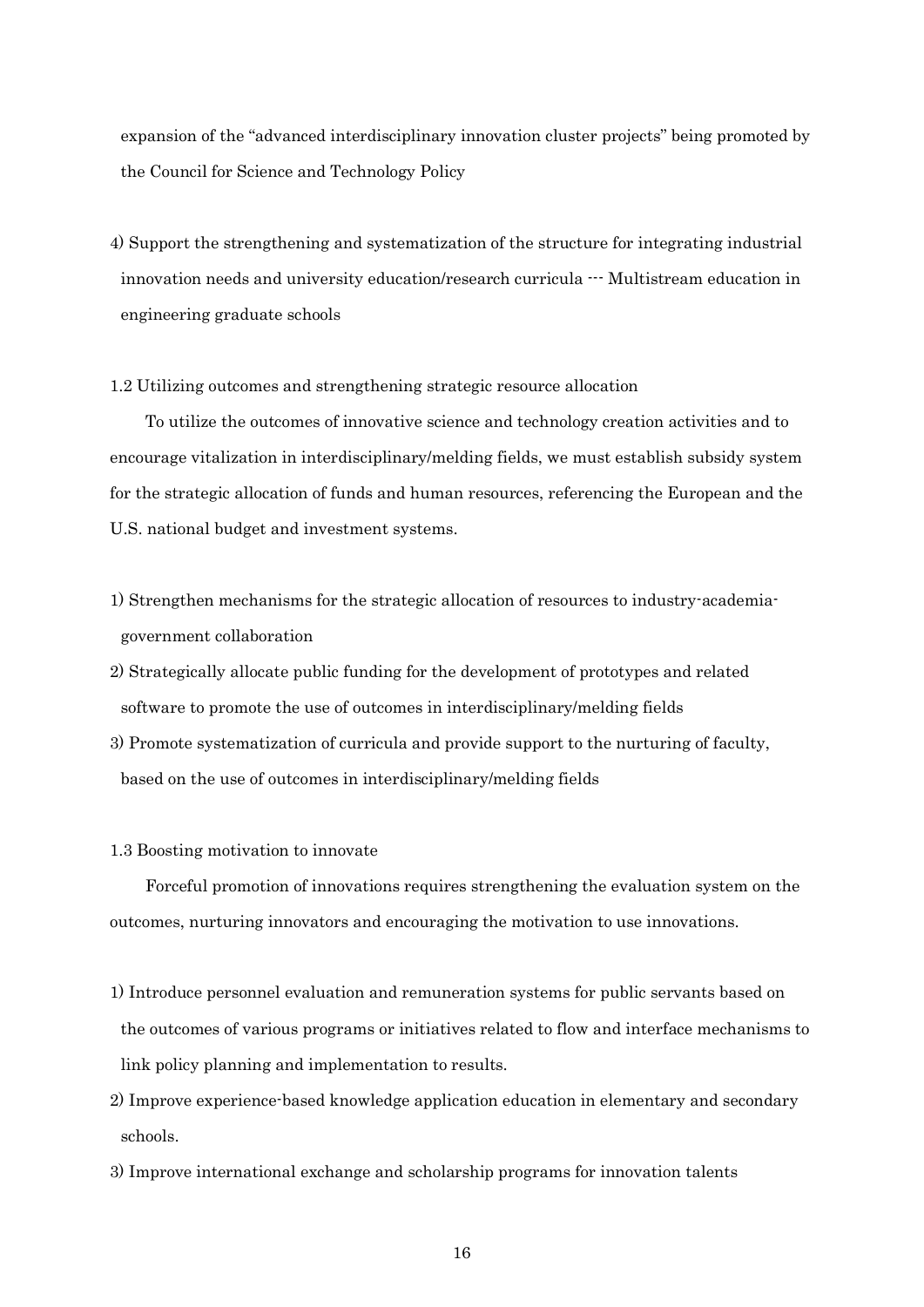expansion of the "advanced interdisciplinary innovation cluster projects" being promoted by the Council for Science and Technology Policy

- 4) Support the strengthening and systematization of the structure for integrating industrial innovation needs and university education/research curricula  $\cdots$  Multistream education in engineering graduate schools
- 1.2 Utilizing outcomes and strengthening strategic resource allocation

To utilize the outcomes of innovative science and technology creation activities and to encourage vitalization in interdisciplinary/melding fields, we must establish subsidy system for the strategic allocation of funds and human resources, referencing the European and the U.S. national budget and investment systems.

- 1) Strengthen mechanisms for the strategic allocation of resources to industry-academiagovernment collaboration
- 2) Strategically allocate public funding for the development of prototypes and related software to promote the use of outcomes in interdisciplinary/melding fields
- 3) Promote systematization of curricula and provide support to the nurturing of faculty, based on the use of outcomes in interdisciplinary/melding fields
- 1.3 Boosting motivation to innovate

Forceful promotion of innovations requires strengthening the evaluation system on the outcomes, nurturing innovators and encouraging the motivation to use innovations.

- 1) Introduce personnel evaluation and remuneration systems for public servants based on the outcomes of various programs or initiatives related to flow and interface mechanisms to link policy planning and implementation to results.
- 2) Improve experience-based knowledge application education in elementary and secondary schools.
- 3) Improve international exchange and scholarship programs for innovation talents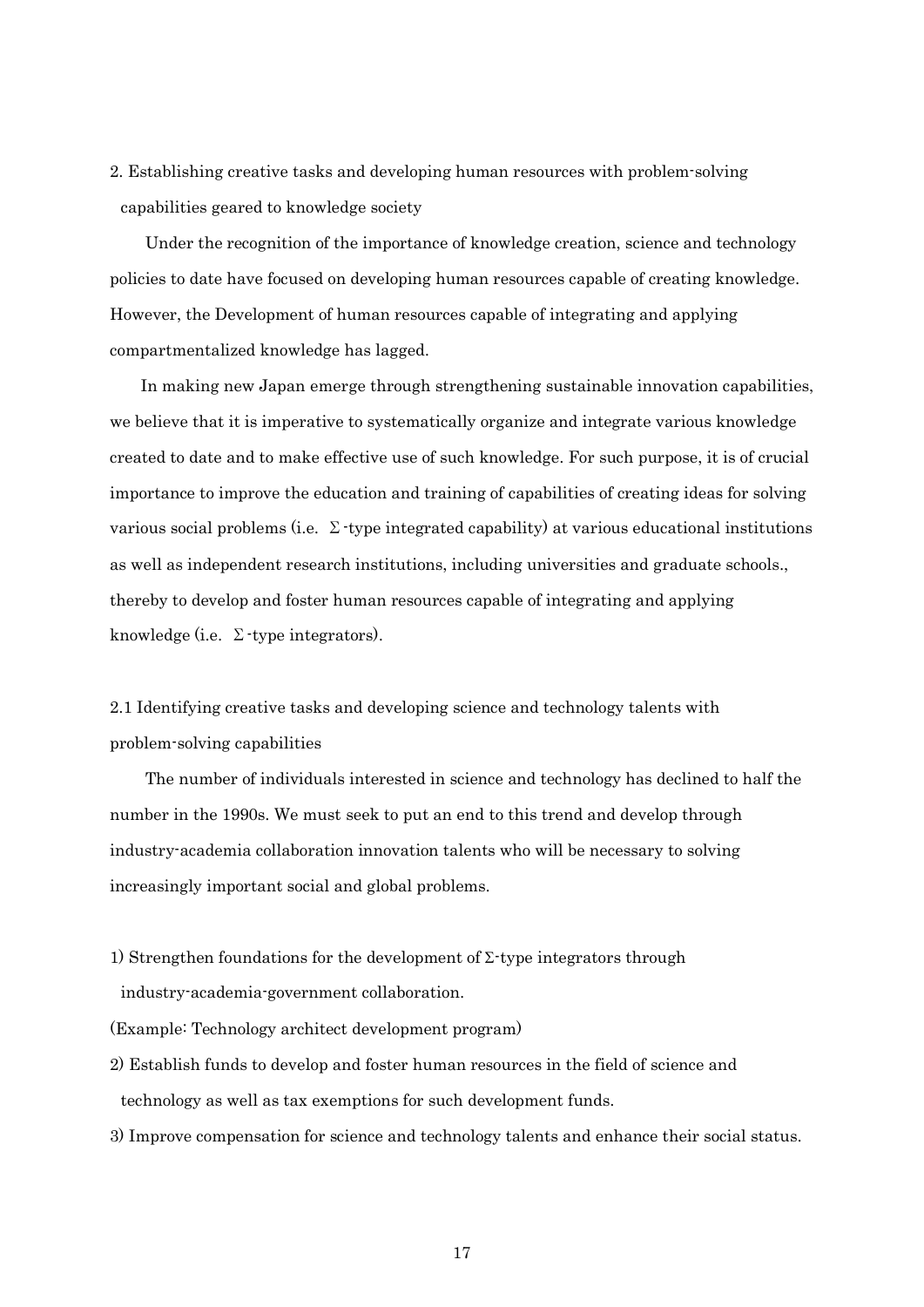2. Establishing creative tasks and developing human resources with problem-solving capabilities geared to knowledge society

Under the recognition of the importance of knowledge creation, science and technology policies to date have focused on developing human resources capable of creating knowledge. However, the Development of human resources capable of integrating and applying compartmentalized knowledge has lagged.

In making new Japan emerge through strengthening sustainable innovation capabilities, we believe that it is imperative to systematically organize and integrate various knowledge created to date and to make effective use of such knowledge. For such purpose, it is of crucial importance to improve the education and training of capabilities of creating ideas for solving various social problems (i.e.  $\Sigma$ -type integrated capability) at various educational institutions as well as independent research institutions, including universities and graduate schools., thereby to develop and foster human resources capable of integrating and applying knowledge (i.e.  $\Sigma$ -type integrators).

2.1 Identifying creative tasks and developing science and technology talents with problem-solving capabilities

The number of individuals interested in science and technology has declined to half the number in the 1990s. We must seek to put an end to this trend and develop through industry-academia collaboration innovation talents who will be necessary to solving increasingly important social and global problems.

1) Strengthen foundations for the development of  $\Sigma$ -type integrators through industry-academia-government collaboration.

(Example: Technology architect development program)

- 2) Establish funds to develop and foster human resources in the field of science and technology as well as tax exemptions for such development funds.
- 3) Improve compensation for science and technology talents and enhance their social status.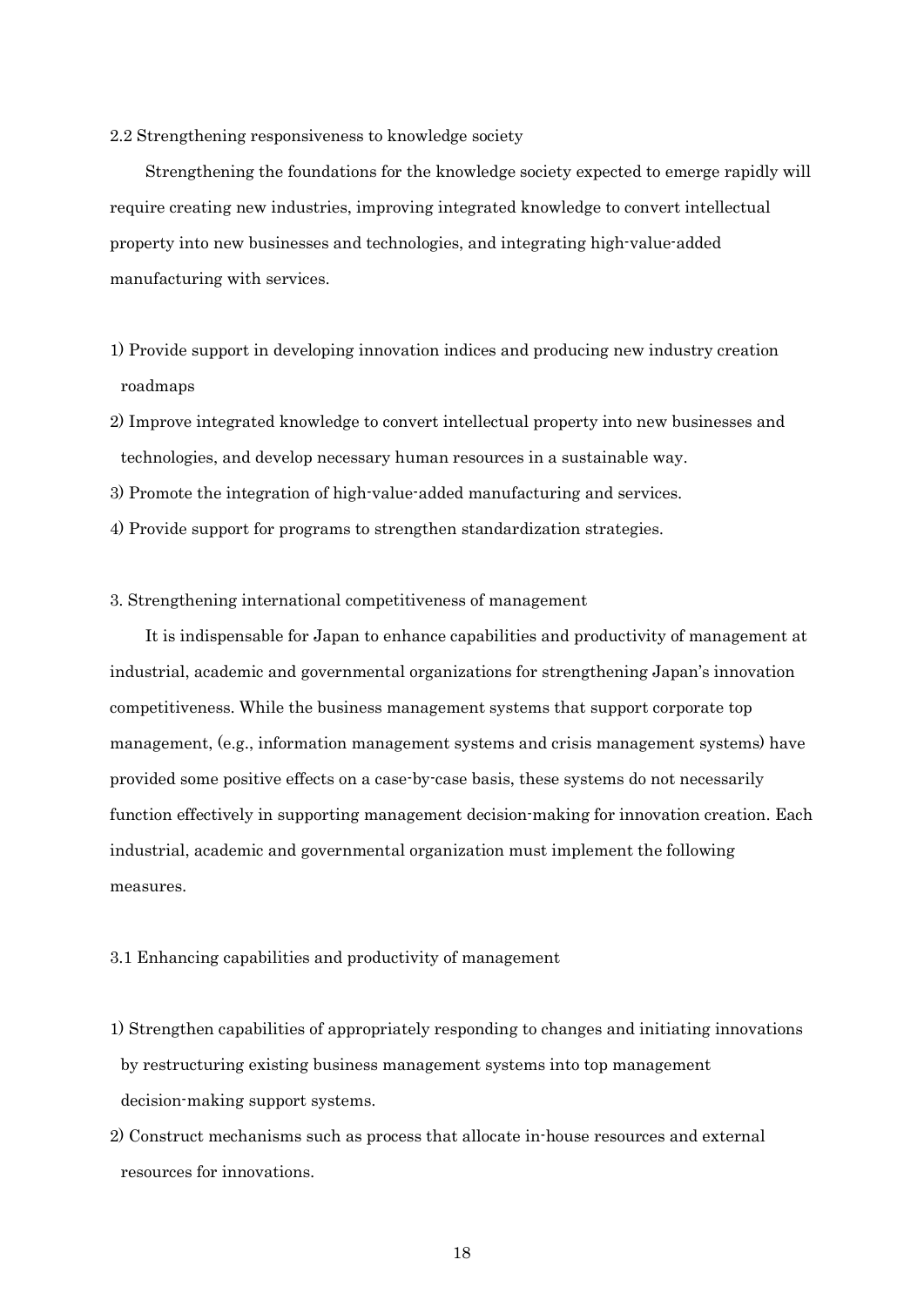## 2.2 Strengthening responsiveness to knowledge society

Strengthening the foundations for the knowledge society expected to emerge rapidly will require creating new industries, improving integrated knowledge to convert intellectual property into new businesses and technologies, and integrating high-value-added manufacturing with services.

- 1) Provide support in developing innovation indices and producing new industry creation roadmaps
- 2) Improve integrated knowledge to convert intellectual property into new businesses and technologies, and develop necessary human resources in a sustainable way.
- 3) Promote the integration of high-value-added manufacturing and services.
- 4) Provide support for programs to strengthen standardization strategies.

# 3. Strengthening international competitiveness of management

It is indispensable for Japan to enhance capabilities and productivity of management at industrial, academic and governmental organizations for strengthening Japan's innovation competitiveness. While the business management systems that support corporate top management, (e.g., information management systems and crisis management systems) have provided some positive effects on a case-by-case basis, these systems do not necessarily function effectively in supporting management decision-making for innovation creation. Each industrial, academic and governmental organization must implement the following measures.

# 3.1 Enhancing capabilities and productivity of management

- 1) Strengthen capabilities of appropriately responding to changes and initiating innovations by restructuring existing business management systems into top management decision-making support systems.
- 2) Construct mechanisms such as process that allocate in-house resources and external resources for innovations.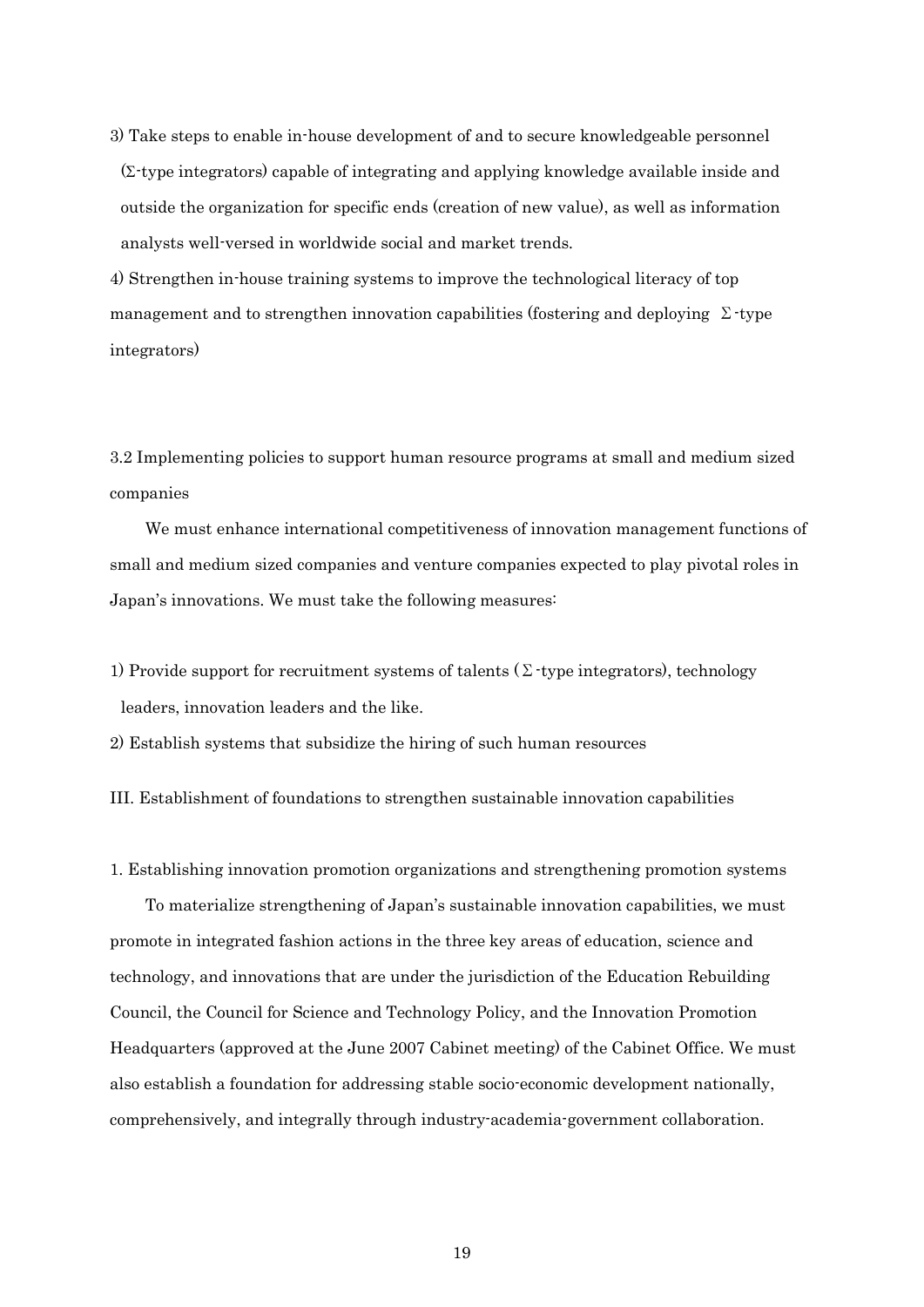3) Take steps to enable in-house development of and to secure knowledgeable personnel  $(\Sigma$ -type integrators) capable of integrating and applying knowledge available inside and outside the organization for specific ends (creation of new value), as well as information analysts well-versed in worldwide social and market trends.

4) Strengthen in-house training systems to improve the technological literacy of top management and to strengthen innovation capabilities (fostering and deploying  $\Sigma$ -type integrators)

3.2 Implementing policies to support human resource programs at small and medium sized companies

We must enhance international competitiveness of innovation management functions of small and medium sized companies and venture companies expected to play pivotal roles in Japan's innovations. We must take the following measures:

1) Provide support for recruitment systems of talents ( $\Sigma$ -type integrators), technology leaders, innovation leaders and the like.

2) Establish systems that subsidize the hiring of such human resources

III. Establishment of foundations to strengthen sustainable innovation capabilities

1. Establishing innovation promotion organizations and strengthening promotion systems

To materialize strengthening of Japan's sustainable innovation capabilities, we must promote in integrated fashion actions in the three key areas of education, science and technology, and innovations that are under the jurisdiction of the Education Rebuilding Council, the Council for Science and Technology Policy, and the Innovation Promotion Headquarters (approved at the June 2007 Cabinet meeting) of the Cabinet Office. We must also establish a foundation for addressing stable socio-economic development nationally, comprehensively, and integrally through industry-academia-government collaboration.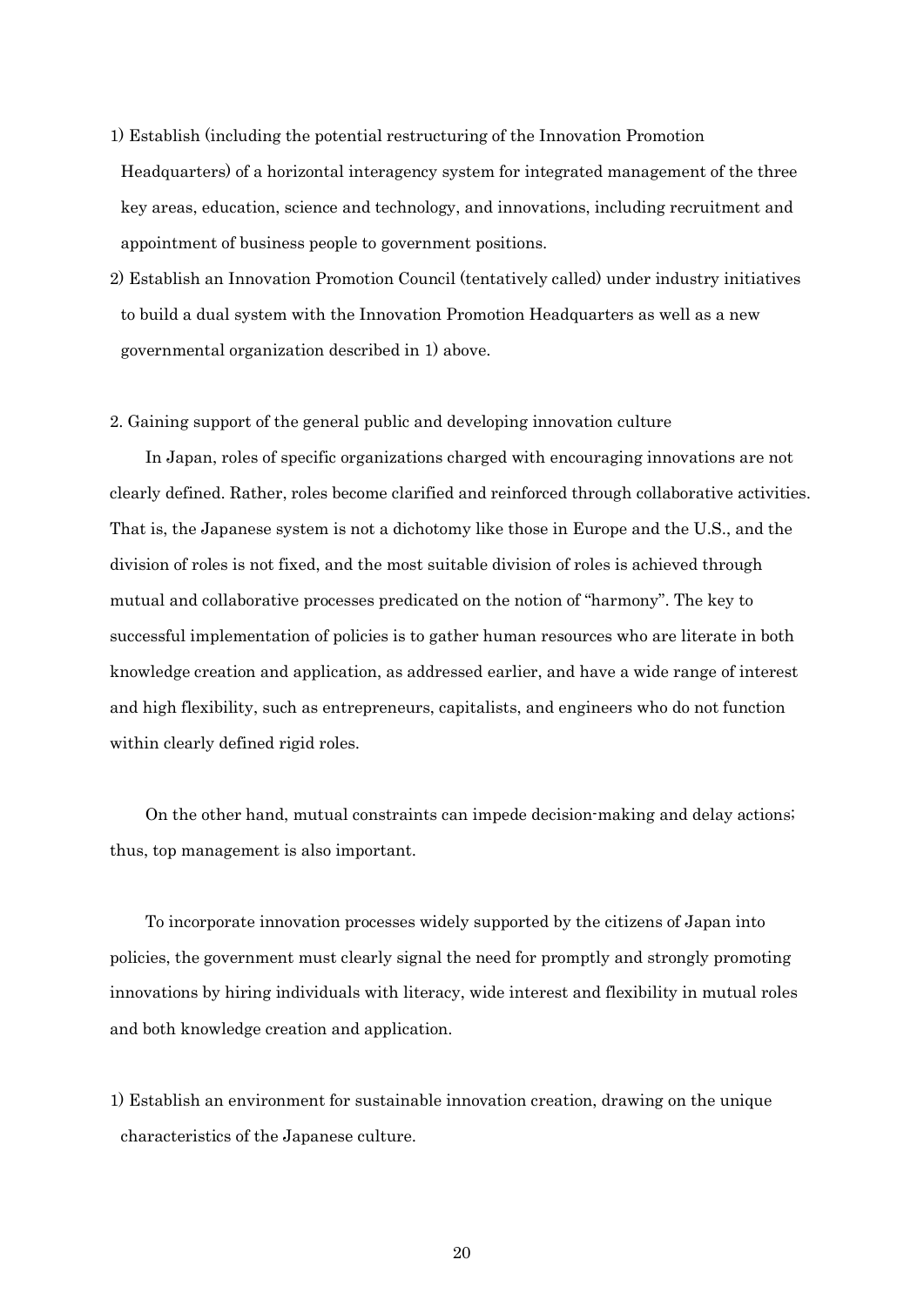- 1) Establish (including the potential restructuring of the Innovation Promotion Headquarters) of a horizontal interagency system for integrated management of the three key areas, education, science and technology, and innovations, including recruitment and appointment of business people to government positions.
- 2) Establish an Innovation Promotion Council (tentatively called) under industry initiatives to build a dual system with the Innovation Promotion Headquarters as well as a new governmental organization described in 1) above.

## 2. Gaining support of the general public and developing innovation culture

In Japan, roles of specific organizations charged with encouraging innovations are not clearly defined. Rather, roles become clarified and reinforced through collaborative activities. That is, the Japanese system is not a dichotomy like those in Europe and the U.S., and the division of roles is not fixed, and the most suitable division of roles is achieved through mutual and collaborative processes predicated on the notion of "harmony". The key to successful implementation of policies is to gather human resources who are literate in both knowledge creation and application, as addressed earlier, and have a wide range of interest and high flexibility, such as entrepreneurs, capitalists, and engineers who do not function within clearly defined rigid roles.

On the other hand, mutual constraints can impede decision-making and delay actions; thus, top management is also important.

To incorporate innovation processes widely supported by the citizens of Japan into policies, the government must clearly signal the need for promptly and strongly promoting innovations by hiring individuals with literacy, wide interest and flexibility in mutual roles and both knowledge creation and application.

1) Establish an environment for sustainable innovation creation, drawing on the unique characteristics of the Japanese culture.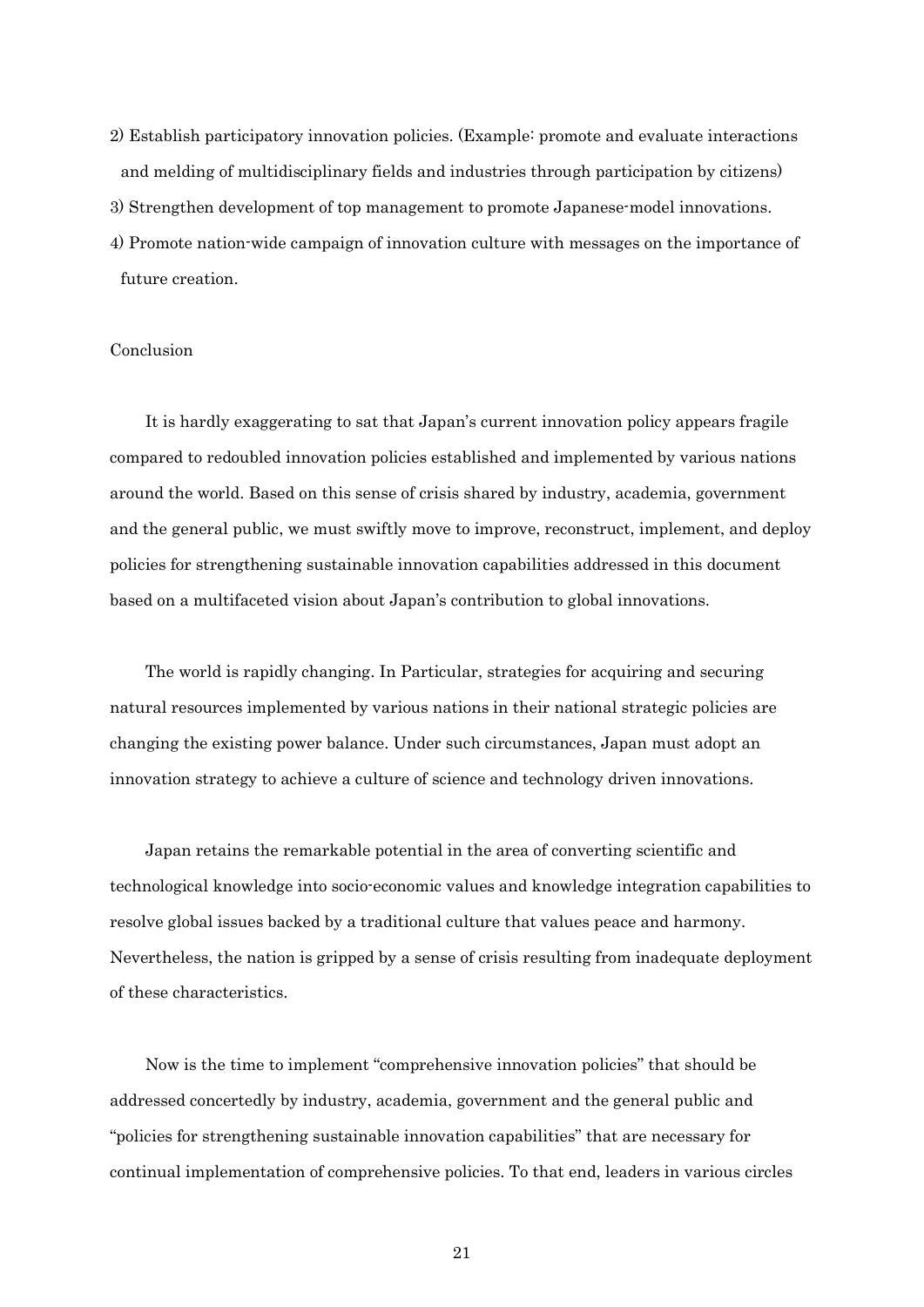2) Establish participatory innovation policies. (Example: promote and evaluate interactions and melding of multidisciplinary fields and industries through participation by citizens) 3) Strengthen development of top management to promote Japanese-model innovations. 4) Promote nation-wide campaign of innovation culture with messages on the importance of future creation.

# Conclusion

It is hardly exaggerating to sat that Japan's current innovation policy appears fragile compared to redoubled innovation policies established and implemented by various nations around the world. Based on this sense of crisis shared by industry, academia, government and the general public, we must swiftly move to improve, reconstruct, implement, and deploy policies for strengthening sustainable innovation capabilities addressed in this document based on a multifaceted vision about Japan's contribution to global innovations.

The world is rapidly changing. In Particular, strategies for acquiring and securing natural resources implemented by various nations in their national strategic policies are changing the existing power balance. Under such circumstances, Japan must adopt an innovation strategy to achieve a culture of science and technology driven innovations.

Japan retains the remarkable potential in the area of converting scientific and technological knowledge into socio-economic values and knowledge integration capabilities to resolve global issues backed by a traditional culture that values peace and harmony. Nevertheless, the nation is gripped by a sense of crisis resulting from inadequate deployment of these characteristics.

Now is the time to implement "comprehensive innovation policies" that should be addressed concertedly by industry, academia, government and the general public and "policies for strengthening sustainable innovation capabilities" that are necessary for continual implementation of comprehensive policies. To that end, leaders in various circles